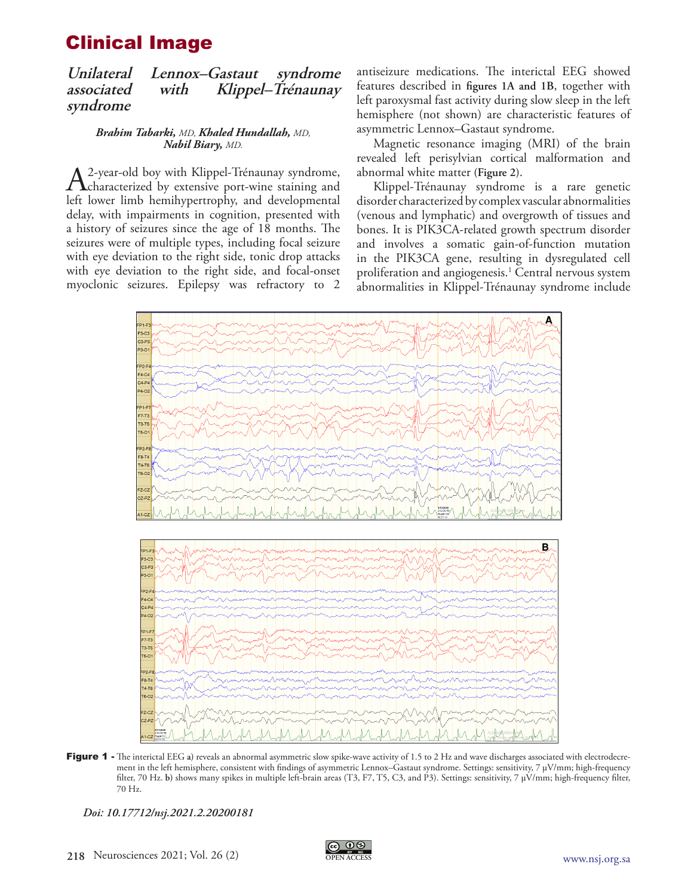## Clinical Image

**Unilateral Lennox–Gastaut syndrome associated with Klippel–Trénaunay syndrome**

> *Brahim Tabarki, MD, Khaled Hundallah, MD, Nabil Biary, MD.*

A 2-year-old boy with Klippel-Trénaunay syndrome,<br>
characterized by extensive port-wine staining and<br>
left lewer limb homibypartraphy, and developmental left lower limb hemihypertrophy, and developmental delay, with impairments in cognition, presented with a history of seizures since the age of 18 months. The seizures were of multiple types, including focal seizure with eye deviation to the right side, tonic drop attacks with eye deviation to the right side, and focal-onset myoclonic seizures. Epilepsy was refractory to 2

antiseizure medications. The interictal EEG showed features described in **figures 1A and 1B**, together with left paroxysmal fast activity during slow sleep in the left hemisphere (not shown) are characteristic features of asymmetric Lennox–Gastaut syndrome.

Magnetic resonance imaging (MRI) of the brain revealed left perisylvian cortical malformation and abnormal white matter **(Figure 2)**.

Klippel-Trénaunay syndrome is a rare genetic disorder characterized by complex vascular abnormalities (venous and lymphatic) and overgrowth of tissues and bones. It is PIK3CA-related growth spectrum disorder and involves a somatic gain-of-function mutation in the PIK3CA gene, resulting in dysregulated cell proliferation and angiogenesis.<sup>1</sup> Central nervous system abnormalities in Klippel-Trénaunay syndrome include



Figure 1 - The interictal EEG a) reveals an abnormal asymmetric slow spike-wave activity of 1.5 to 2 Hz and wave discharges associated with electrodecrement in the left hemisphere, consistent with findings of asymmetric Lennox–Gastaut syndrome. Settings: sensitivity, 7 µV/mm; high-frequency filter, 70 Hz. **b)** shows many spikes in multiple left-brain areas (T3, F7, T5, C3, and P3). Settings: sensitivity, 7 µV/mm; high-frequency filter, 70 Hz.

*Doi: 10.17712/nsj.2021.2.20200181*